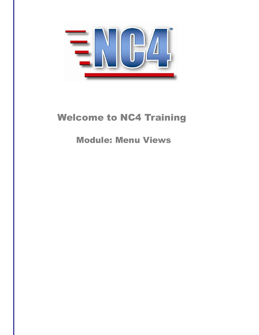

# Welcome to NC4 Training

Module: Menu Views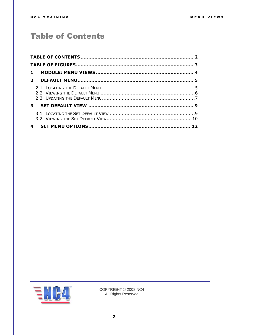## <span id="page-1-0"></span>**Table of Contents**

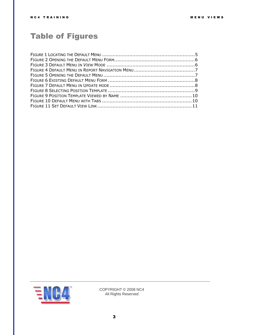## <span id="page-2-0"></span>Table of Figures

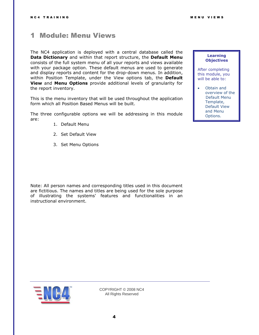### <span id="page-3-0"></span>1 Module: Menu Views

The NC4 application is deployed with a central database called the **Data Dictionary** and within that report structure, the **Default Menu**  consists of the full system menu of all your reports and views available with your package option. These default menus are used to generate and display reports and content for the drop-down menus. In addition, within Position Template, under the View options tab, the **Default View** and **Menu Options** provide additional levels of granularity for the report inventory.

This is the menu inventory that will be used throughout the application form which all Position Based Menus will be built.

The three configurable options we will be addressing in this module are:

- 1. Default Menu
- 2. Set Default View
- 3. Set Menu Options

Note: All person names and corresponding titles used in this document are fictitious. The names and titles are being used for the sole purpose of illustrating the systems' features and functionalities in an instructional environment.

#### **Learning Objectives**

After completing this module, you will be able to:

 Obtain and overview of the Default Menu Template, Default View and Menu Options.

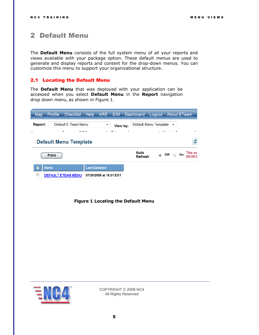### <span id="page-4-0"></span>2 Default Menu

The **Default Menu** consists of the full system menu of all your reports and views available with your package option. These default menus are used to generate and display reports and content for the drop-down menus. You can customize this menu to support your organizational structure.

#### <span id="page-4-1"></span>2.1 Locating the Default Menu

The **Default Menu** that was deployed with your application can be accessed when you select **Default Menu** in the **Report** navigation drop down menu, as shown in [Figure 1.](#page-4-2)

| Map            | Profile      | Checklist                    | <b>Help</b>         | ARE                      | <b>EIM</b> | Dashboard              | Logout                |                     | <b>About ETeam</b> |    |                     |
|----------------|--------------|------------------------------|---------------------|--------------------------|------------|------------------------|-----------------------|---------------------|--------------------|----|---------------------|
| Report:        |              | Default E Team Menu          |                     | $\overline{\phantom{a}}$ | View by:   |                        | Default Menu Template |                     | ۰                  |    |                     |
| $\blacksquare$ |              |                              |                     |                          |            |                        |                       |                     |                    |    |                     |
|                |              | <b>Default Menu Template</b> |                     |                          |            |                        |                       |                     |                    |    | ø                   |
|                | <b>Print</b> |                              |                     |                          |            | Auto<br><b>Refresh</b> |                       | $\circ$ Off $\circ$ |                    | On | This sc<br>100:00:0 |
|                | <b>Name</b>  |                              | <b>Last Updated</b> |                          |            |                        |                       |                     |                    |    |                     |
|                |              | <b>DEFAULT ETEAM MENU</b>    |                     | 07/20/2009 at 16:31 EST  |            |                        |                       |                     |                    |    |                     |

<span id="page-4-2"></span>**Figure 1 Locating the Default Menu**

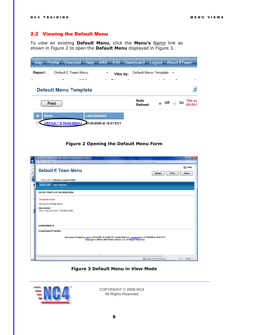#### <span id="page-5-0"></span>2.2 Viewing the Default Menu

To *view* an existing **Default Menu**, click the **Menu's** Name link as shown in [Figure 2](#page-5-1) to open the **Default Menu** displayed in Figure 3.

| <b>Map</b>  | Profile      | <b>Checklist</b>             | Help | <b>ARE</b>              | <b>EIM</b> |   | Dashboard              | Logout                |            |   | <b>About ETeam</b>  |
|-------------|--------------|------------------------------|------|-------------------------|------------|---|------------------------|-----------------------|------------|---|---------------------|
| Report:     |              | Default E Team Menu          |      | ۰                       | View by:   |   |                        | Default Menu Template |            | ۰ |                     |
|             |              |                              |      |                         |            | ٠ |                        |                       |            |   |                     |
|             |              | <b>Default Menu Template</b> |      |                         |            |   |                        |                       |            |   | ø                   |
|             | <b>Print</b> |                              |      |                         |            |   | Auto<br><b>Refresh</b> |                       | ◎ Off ◎ On |   | This sc<br>(00:00:0 |
| <b>Name</b> |              |                              |      | <b>Last Updated</b>     |            |   |                        |                       |            |   |                     |
|             |              | <b>DEFAULT ETEAM MENU</b>    |      | 07/20/2009 at 16:31 EST |            |   |                        |                       |            |   |                     |

#### **Figure 2 Opening the Default Menu Form**

<span id="page-5-1"></span>

| p€ Co<br>$\bullet$ | $-0 x$<br>County System: Default E Team Menu - Internet Explorer provided by Dell                                                                                                                                                                            |
|--------------------|--------------------------------------------------------------------------------------------------------------------------------------------------------------------------------------------------------------------------------------------------------------|
| 88                 | (F) http://preview.nc4.us/eteam/report/position_template.do?target=read&id=ETR6PV2112008135609-eteam-124812549181247082113&reportType=default_menu_template<br>図<br>Help<br>$\Omega$<br>Default E Team Menu<br><b>Close</b><br><b>Print</b><br><b>Update</b> |
|                    | "Red Label: indicates a required field.                                                                                                                                                                                                                      |
| R                  | <b>Basic Info</b><br><b>View Options</b>                                                                                                                                                                                                                     |
|                    | <b>ENTER TEMPLATE INFORMATION</b>                                                                                                                                                                                                                            |
|                    | *Template Name                                                                                                                                                                                                                                               |
|                    | <b>DEFAULT ETEAM MENU</b>                                                                                                                                                                                                                                    |
|                    | <b>Description</b><br>This is the DEFAULT ETEAM MENU                                                                                                                                                                                                         |
|                    | <b>ASSIGNMENTS</b>                                                                                                                                                                                                                                           |
|                    | <b>Organization/Position:</b>                                                                                                                                                                                                                                |
|                    | Document Created by: null on 05/14/2007 at 13:56 EST LastModified by: rcomerford on 07/20/2009 at 16:31 EST<br>Copyright © 2009 by NC4 Public Sector LLC, All Rights Reserved.                                                                               |
|                    |                                                                                                                                                                                                                                                              |
| http:              | $\frac{1}{2}$ v $\frac{160\%}{2}$ v<br>Internet   Protected Mode: On                                                                                                                                                                                         |

<span id="page-5-2"></span>**Figure 3 Default Menu in** *View* **Mode**

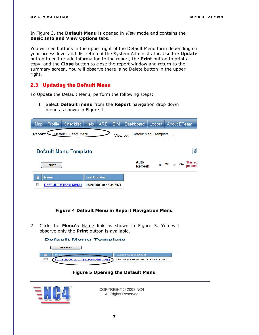In [Figure 3,](#page-5-2) the **Default Menu** is opened in *View* mode and contains the **Basic Info and View Options** tabs.

You will see buttons in the upper right of the Default Menu form depending on your access level and discretion of the System Administrator. Use the **Update** button to edit or add information to the report, the **Print** button to print a copy, and the **Close** button to close the report window and return to the summary screen. You will observe there is no Delete button in the upper right.

#### <span id="page-6-0"></span>2.3 Updating the Default Menu

To Update the Default Menu, perform the following steps:

1 Select **Default menu** from the **Report** navigation drop down menu as shown in [Figure 4.](#page-6-1)

| Map     | Profile      | <b>Checklist</b>             | <b>Help</b>         | ARE,                    | <b>EIM</b> | Dashboard              | Logout                |            |   | <b>About ETeam</b>  |
|---------|--------------|------------------------------|---------------------|-------------------------|------------|------------------------|-----------------------|------------|---|---------------------|
| Report: |              | Default E Team Menu          |                     |                         | View by:   |                        | Default Menu Template |            | ۰ |                     |
|         |              |                              |                     |                         |            |                        |                       |            |   | ٠                   |
|         |              | <b>Default Menu Template</b> |                     |                         |            |                        |                       |            |   | ø                   |
|         | <b>Print</b> |                              |                     |                         |            | Auto<br><b>Refresh</b> |                       | ◎ Off ◎ On |   | This sc<br>(00:00:0 |
|         | <b>Name</b>  |                              | <b>Last Updated</b> |                         |            |                        |                       |            |   |                     |
|         |              | <b>DEFAULT ETEAM MENU</b>    |                     | 07/20/2009 at 16:31 EST |            |                        |                       |            |   |                     |

#### **Figure 4 Default Menu in Report Navigation Menu**

<span id="page-6-1"></span>2 Click the **Menu's** Name link as shown in [Figure 5.](#page-6-2) You will observe only the **Print** button is available.



**Figure 5 Opening the Default Menu**

<span id="page-6-2"></span>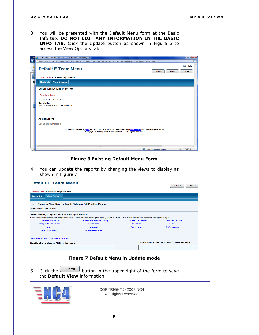3 You will be presented with the Default Menu form at the Basic Info tab. **DO NOT EDIT ANY INFORMATION IN THE BASIC INFO TAB.** Click the Update button as shown in [Figure 6](#page-7-0) to access the View Options tab.

| Æ c       | County System: Default E Team Menu - Internet Explorer provided by Dell                                                                                                        | $    x$                             |
|-----------|--------------------------------------------------------------------------------------------------------------------------------------------------------------------------------|-------------------------------------|
| $\bullet$ | (C) http://preview.nc4.us/eteam/report/position_template.do?target=read&id=ETR6PV2112008135609-eteam-124812549181247082113&reportType=default_menu_template                    | $\boxtimes$                         |
| 88        | <b>Default E Team Menu</b><br><b>Update</b><br><b>Print</b>                                                                                                                    | $\circledR$<br>Help<br><b>Close</b> |
|           | *Red Label: indicates a required field.                                                                                                                                        |                                     |
| R<br>٠    | <b>Basic Info</b><br><b>View Options</b>                                                                                                                                       |                                     |
|           | <b>ENTER TEMPLATE INFORMATION</b>                                                                                                                                              |                                     |
|           | *Template Name                                                                                                                                                                 |                                     |
|           | <b>DEFAULT ETEAM MENU</b>                                                                                                                                                      |                                     |
|           | <b>Description</b><br>This is the DEFAULT ETEAM MENU                                                                                                                           |                                     |
|           |                                                                                                                                                                                |                                     |
|           | <b>ASSIGNMENTS</b>                                                                                                                                                             |                                     |
|           | <b>Organization/Position:</b>                                                                                                                                                  |                                     |
|           | Document Created by: null on 05/14/2007 at 13:56 EST LastModified by: rcomerford on 07/20/2009 at 16:31 EST<br>Copyright © 2009 by NC4 Public Sector LLC, All Rights Reserved. |                                     |
|           |                                                                                                                                                                                |                                     |
|           | $\epsilon$<br>m.                                                                                                                                                               |                                     |
| http:/    | Internet   Protected Mode: On                                                                                                                                                  | ● ● 电160% ▼                         |

#### **Figure 6 Existing Default Menu Form**

<span id="page-7-0"></span>4 You can update the reports by changing the views to display as shown in [Figure 7.](#page-7-1)

| <b>Default E Team Menu</b>                                                            |                                                                                                                                                       |                        | <b>Submit</b><br>Cancel                     |
|---------------------------------------------------------------------------------------|-------------------------------------------------------------------------------------------------------------------------------------------------------|------------------------|---------------------------------------------|
| "Red Label: indicates a required field.                                               |                                                                                                                                                       |                        |                                             |
| <b>View Options</b><br><b>Basic Info</b>                                              |                                                                                                                                                       |                        |                                             |
| Check to Allow User to Toggle Between Full/Position Menus<br><b>VIEW MENU OPTIONS</b> |                                                                                                                                                       |                        |                                             |
| Select view(s) to appear on the View/Update menu.                                     | Click on link below to view all options available. When finished defining the menu, click SET DEFAULT VIEW and make a selection to display at log in. |                        |                                             |
| <b>All/My Reports</b>                                                                 | <b>Event/Incident/Activity</b>                                                                                                                        | <b>Disaster Relief</b> | Infrastructure                              |
| <b>Damage Assessment</b>                                                              | <b>Resources</b>                                                                                                                                      | <b>Situation</b>       | <b>Tasks</b>                                |
| Logs                                                                                  | <b>Models</b>                                                                                                                                         | <b>Personnel</b>       | <b>References</b>                           |
| <b>Data Dictionary</b>                                                                | <b>Administration</b>                                                                                                                                 |                        |                                             |
| <b>Set Default View</b><br><b>Set Menu Options</b>                                    |                                                                                                                                                       |                        |                                             |
| Double click a view to ADD to the menu                                                |                                                                                                                                                       |                        | Double click a view to REMOVE from the menu |
|                                                                                       |                                                                                                                                                       |                        |                                             |

**Figure 7 Default Menu in Update mode**

<span id="page-7-1"></span>5 Click the  $\Box$  button in the upper right of the form to save the **Default View** information.

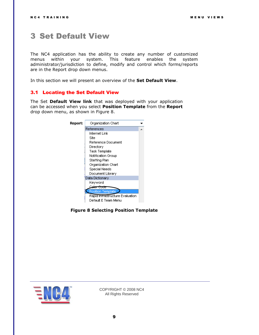### <span id="page-8-0"></span>3 Set Default View

The NC4 application has the ability to create any number of customized menus within your system. This feature enables the system administrator/jurisdiction to define, modify and control which forms/reports are in the Report drop down menus.

In this section we will present an overview of the **Set Default View**.

#### <span id="page-8-1"></span>3.1 Locating the Set Default View

The Set **Default View link** that was deployed with your application can be accessed when you select **Position Template** from the **Report**  drop down menu, as shown in [Figure 8.](#page-8-2)

| Report: | Organization Chart              |  |
|---------|---------------------------------|--|
|         | References                      |  |
|         | Internet Link                   |  |
|         | Site                            |  |
|         | Reference Document              |  |
|         | Directory                       |  |
|         | Task Template                   |  |
|         | Notification Group              |  |
|         | Staffing Plan                   |  |
|         | Organization Chart              |  |
|         | Special Needs                   |  |
|         | Document Library                |  |
|         | Data Dictionary                 |  |
|         | Keyword                         |  |
|         | Code                            |  |
|         | <b>Position Template</b>        |  |
|         | Rapid Infrastructure Evaluation |  |
|         | Default E Team Menu             |  |

<span id="page-8-2"></span>**Figure 8 Selecting Position Template**

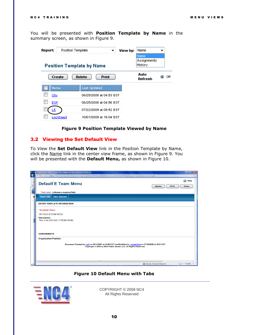You will be presented with **Position Template by Name** in the summary screen, as shown in [Figure 9.](#page-9-1)

| Report: | Position Template |                                  | View by: | Name                           |     |
|---------|-------------------|----------------------------------|----------|--------------------------------|-----|
|         |                   | <b>Position Template by Name</b> |          | Name<br>Assignments<br>History |     |
|         | Create            | <b>Delete</b><br><b>Print</b>    |          | Auto<br>Refresh                | Off |
| Name    |                   | <b>Last Updated</b>              |          |                                |     |
| City    |                   | 06/25/2008 at 04:53 EST          |          |                                |     |
| ESF     |                   | 06/25/2008 at 04:56 EST          |          |                                |     |
| LE      |                   | 07/22/2009 at 08:52 EST          |          |                                |     |
|         | Lookheed          | 10/01/2009 at 16:04 EST          |          |                                |     |

**Figure 9 Position Template Viewed by Name**

#### <span id="page-9-1"></span><span id="page-9-0"></span>3.2 Viewing the Set Default View

To *View* the **Set Default View** link in the Position Template by Name, click the Name link in the center view frame, as shown in [Figure 9.](#page-9-1) You will be presented with the **Default Menu,** as shown in [Figure 10.](#page-9-2)

|           | $-10 - x$<br>County System: Default E Team Menu - Internet Explorer provided by Dell                                                                                           |
|-----------|--------------------------------------------------------------------------------------------------------------------------------------------------------------------------------|
| $\bullet$ | (C) http://preview.nc4.us/eteam/report/position_template.do?target=read&id=ETR6PV2112008135609-eteam-124812549181247082113&reportType=default_menu_template<br>魯               |
|           | $\circledR$<br>Help                                                                                                                                                            |
| 85        | <b>Default E Team Menu</b><br>Update<br><b>Print</b><br><b>Close</b>                                                                                                           |
|           |                                                                                                                                                                                |
|           | *Red Label: indicates a required field.                                                                                                                                        |
| R         | Basic Info<br><b>View Options</b>                                                                                                                                              |
|           |                                                                                                                                                                                |
|           | <b>ENTER TEMPLATE INFORMATION</b>                                                                                                                                              |
|           | *Template Name                                                                                                                                                                 |
|           | <b>DEFAULT ETEAM MENU</b>                                                                                                                                                      |
|           | <b>Description</b>                                                                                                                                                             |
|           | This is the DEFAULT FTFAM MENU                                                                                                                                                 |
|           |                                                                                                                                                                                |
|           |                                                                                                                                                                                |
|           | <b>ASSIGNMENTS</b>                                                                                                                                                             |
|           | <b>Organization/Position:</b>                                                                                                                                                  |
|           |                                                                                                                                                                                |
|           | Document Created by: null on 05/14/2007 at 13:56 EST LastModified by: rcomerford on 07/20/2009 at 16:31 EST<br>Copyright © 2009 by NC4 Public Sector LLC, All Rights Reserved. |
|           |                                                                                                                                                                                |
|           |                                                                                                                                                                                |
|           |                                                                                                                                                                                |
|           | m.<br>÷                                                                                                                                                                        |
| http:     | $\frac{1}{2}$ v $\frac{160\%}{160\%}$ v<br>Internet   Protected Mode: On                                                                                                       |

#### **Figure 10 Default Menu with Tabs**

<span id="page-9-2"></span>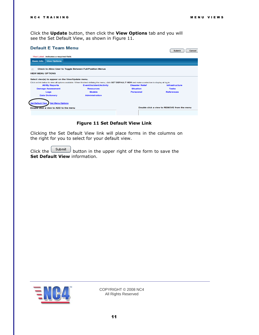Submit Cancel

Click the **Update** button, then click the **View Options** tab and you will see the Set Default View, as shown in [Figure 11.](#page-10-0)

#### **Default E Team Menu**

| "Red Label: indicates a required field.<br><b>View Options</b><br><b>Basic Info</b> |                                                                                                                                                       |                        |                                             |
|-------------------------------------------------------------------------------------|-------------------------------------------------------------------------------------------------------------------------------------------------------|------------------------|---------------------------------------------|
| Check to Allow User to Toggle Between Full/Position Menus                           |                                                                                                                                                       |                        |                                             |
| <b>VIEW MENU OPTIONS</b>                                                            |                                                                                                                                                       |                        |                                             |
| Select view(s) to appear on the View/Update menu.                                   |                                                                                                                                                       |                        |                                             |
|                                                                                     | Click on link below to view all options available. When finished defining the menu, click SET DEFAULT VIEW and make a selection to display at log in. |                        |                                             |
| <b>All/My Reports</b>                                                               | <b>Event/Incident/Activity</b>                                                                                                                        | <b>Disaster Relief</b> | Infrastructure                              |
| <b>Damage Assessment</b>                                                            | <b>Resources</b>                                                                                                                                      | <b>Situation</b>       | <b>Tasks</b>                                |
| Logs                                                                                | <b>Models</b>                                                                                                                                         | <b>Personnel</b>       | <b>References</b>                           |
| <b>Data Dictionary</b>                                                              | <b>Administration</b>                                                                                                                                 |                        |                                             |
|                                                                                     |                                                                                                                                                       |                        |                                             |
| <b>Set Default View</b><br><b>Set Menu Options</b>                                  |                                                                                                                                                       |                        |                                             |
|                                                                                     |                                                                                                                                                       |                        |                                             |
| Double click a view to ADD to the menu                                              |                                                                                                                                                       |                        | Double click a view to REMOVE from the menu |

**Figure 11 Set Default View Link**

<span id="page-10-0"></span>Clicking the Set Default View link will place forms in the columns on the right for you to select for your default view.

Click the  $\begin{bmatrix} \text{Submit} \\ \end{bmatrix}$  button in the upper right of the form to save the **Set Default View** information.